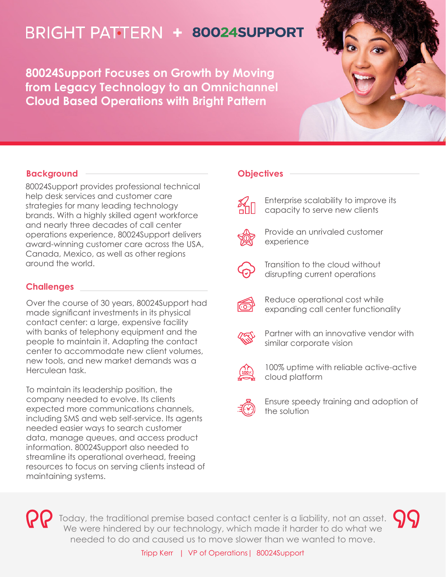# **BRIGHT PATTERN + 80024SUPPORT**

**80024Support Focuses on Growth by Moving from Legacy Technology to an Omnichannel Cloud Based Operations with Bright Pattern**



## **Background**

80024Support provides professional technical help desk services and customer care strategies for many leading technology brands. With a highly skilled agent workforce and nearly three decades of call center operations experience, 80024Support delivers award-winning customer care across the USA, Canada, Mexico, as well as other regions around the world.

## **Challenges**

Over the course of 30 years, 80024Support had made significant investments in its physical contact center: a large, expensive facility with banks of telephony equipment and the people to maintain it. Adapting the contact center to accommodate new client volumes, new tools, and new market demands was a Herculean task.

To maintain its leadership position, the company needed to evolve. Its clients expected more communications channels, including SMS and web self-service. Its agents needed easier ways to search customer data, manage queues, and access product information. 80024Support also needed to streamline its operational overhead, freeing resources to focus on serving clients instead of maintaining systems.

## **Objectives**



Enterprise scalability to improve its capacity to serve new clients



Provide an unrivaled customer experience



Transition to the cloud without disrupting current operations



Reduce operational cost while expanding call center functionality



Partner with an innovative vendor with similar corporate vision



100% uptime with reliable active-active cloud platform



Ensure speedy training and adoption of the solution



Today, the traditional premise based contact center is a liability, not an asset. We were hindered by our technology, which made it harder to do what we needed to do and caused us to move slower than we wanted to move.